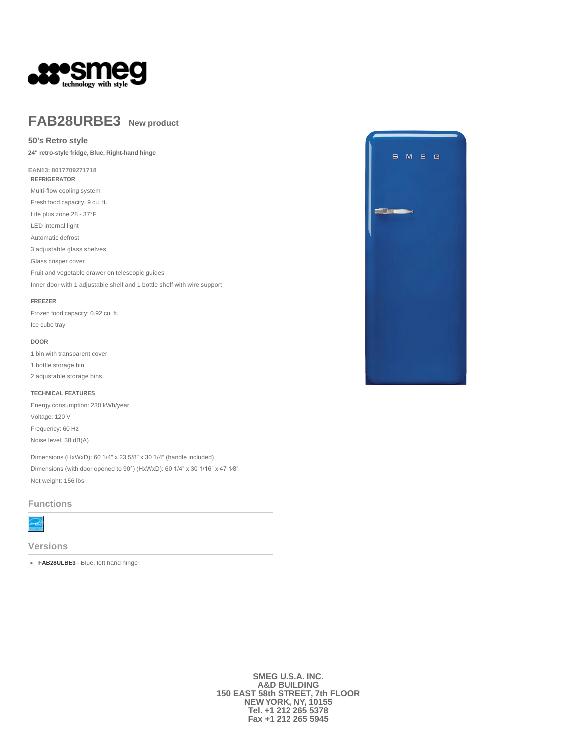

# **FAB28URBE3 New product**

## **50's Retro style**

**24" retro-style fridge, Blue, Right-hand hinge** 

**EAN13: 8017709271718 REFRIGERATOR**

Multi-flow cooling system

Fresh food capacity: 9 cu. ft.

Life plus zone 28 - 37°F

LED internal light

Automatic defrost 3 adjustable glass shelves

Glass crisper cover

Fruit and vegetable drawer on telescopic guides

Inner door with 1 adjustable shelf and 1 bottle shelf with wire support

#### **FREEZER**

Frozen food capacity: 0.92 cu. ft. Ice cube tray

### **DOOR**

1 bin with transparent cover

- 1 bottle storage bin
- 2 adjustable storage bins

#### **TECHNICAL FEATURES**

Energy consumption: 230 kWh/year Voltage: 120 V Frequency: 60 Hz Noise level: 38 dB(A)

Dimensions (HxWxD): 60 1/4" x 23 5/8" x 30 1/4" (handle included) Dimensions (with door opened to 90°) (HxWxD): 60 1/4" x 30 1/16" x 47 1⁄8" Net weight: 156 lbs

#### **Functions**



**Versions**

**FAB28ULBE3** - Blue, left hand hinge



**SMEG U.S.A. INC. A&D BUILDING 150 EAST 58th STREET, 7th FLOOR NEW YORK, NY, 10155 Tel. +1 212 265 5378 Fax +1 212 265 5945**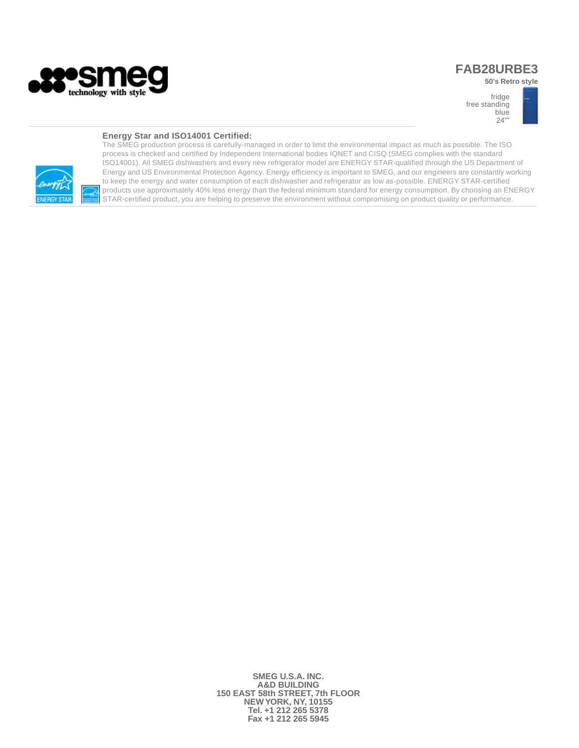

# **FAB28URBE3**

**50's Retro style** 



### **Energy Star and ISO14001 Certified:**



The SMEG production process is carefully-managed in order to limit the environmental impact as much as possible. The ISO process is checked and certified by Independent International bodies IQNET and CISQ (SMEG complies with the standard ISO14001). All SMEG dishwashers and every new refrigerator model are ENERGY STAR-qualified through the US Department of Energy and US Environmental Protection Agency. Energy efficiency is important to SMEG, and our engineers are constantly working to keep the energy and water consumption of each dishwasher and refrigerator as low as-possible. ENERGY STAR-certified products use approximately 40% less energy than the federal minimum standard for energy consumption. By choosing an ENERGY STAR-certified product, you are helping to preserve the environment without compromising on product quality or performance.

> **SMEG U.S.A. INC. A&D BUILDING 150 EAST 58th STREET, 7th FLOOR NEW YORK, NY, 10155 Tel. +1 212 265 5378 Fax +1 212 265 5945**